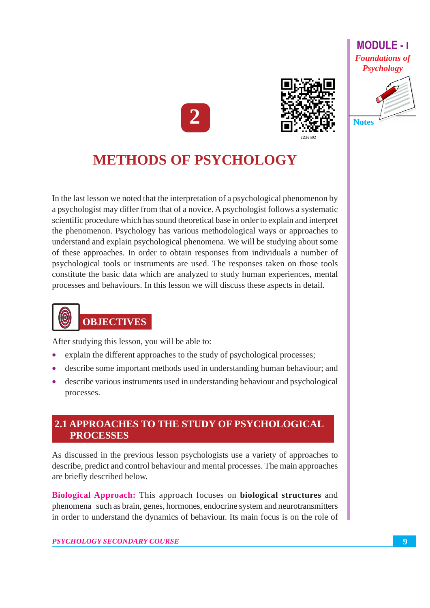### **MODULE-1 Foundations of Psychology**





# **METHODS OF PSYCHOLOGY**

In the last lesson we noted that the interpretation of a psychological phenomenon by a psychologist may differ from that of a novice. A psychologist follows a systematic scientific procedure which has sound theoretical base in order to explain and interpret the phenomenon. Psychology has various methodological ways or approaches to understand and explain psychological phenomena. We will be studying about some of these approaches. In order to obtain responses from individuals a number of psychological tools or instruments are used. The responses taken on those tools constitute the basic data which are analyzed to study human experiences, mental processes and behaviours. In this lesson we will discuss these aspects in detail.

# **OBJECTIVES**

 $\bm{\left( 0\right) }$ 

After studying this lesson, you will be able to:

- explain the different approaches to the study of psychological processes;
- describe some important methods used in understanding human behaviour; and
- describe various instruments used in understanding behaviour and psychological processes.

# **2.1 APPROACHES TO THE STUDY OF PSYCHOLOGICAL PROCESSES**

As discussed in the previous lesson psychologists use a variety of approaches to describe, predict and control behaviour and mental processes. The main approaches are briefly described below.

**Biological Approach:** This approach focuses on **biological structures** and phenomena such as brain, genes, hormones, endocrine system and neurotransmitters in order to understand the dynamics of behaviour. Its main focus is on the role of

#### PSYCHOLOGY SECONDARY COURSE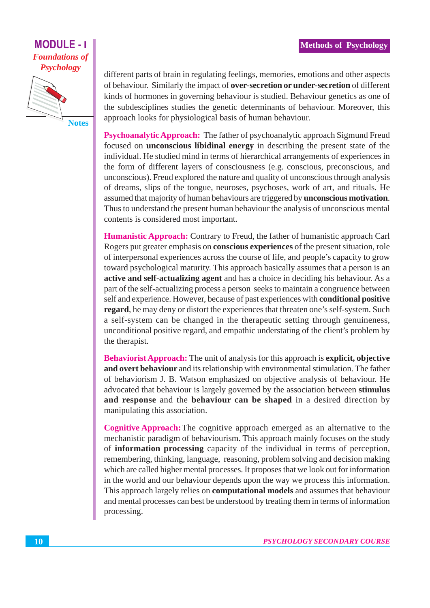## **MODULE -Foundations of Psychology**



different parts of brain in regulating feelings, memories, emotions and other aspects of behaviour. Similarly the impact of over-secretion or under-secretion of different kinds of hormones in governing behaviour is studied. Behaviour genetics as one of the subdesciplines studies the genetic determinants of behaviour. Moreover, this approach looks for physiological basis of human behaviour.

**Psychoanalytic Approach:** The father of psychoanalytic approach Sigmund Freud focused on **unconscious libidinal energy** in describing the present state of the individual. He studied mind in terms of hierarchical arrangements of experiences in the form of different layers of consciousness (e.g. conscious, preconscious, and unconscious). Freud explored the nature and quality of unconscious through analysis of dreams, slips of the tongue, neuroses, psychoses, work of art, and rituals. He assumed that majority of human behaviours are triggered by **unconscious motivation**. Thus to understand the present human behaviour the analysis of unconscious mental contents is considered most important.

**Humanistic Approach:** Contrary to Freud, the father of humanistic approach Carl Rogers put greater emphasis on **conscious experiences** of the present situation, role of interpersonal experiences across the course of life, and people's capacity to grow toward psychological maturity. This approach basically assumes that a person is an active and self-actualizing agent and has a choice in deciding his behaviour. As a part of the self-actualizing process a person seeks to maintain a congruence between self and experience. However, because of past experiences with **conditional positive** regard, he may deny or distort the experiences that threaten one's self-system. Such a self-system can be changed in the therapeutic setting through genuineness, unconditional positive regard, and empathic understating of the client's problem by the therapist.

**Behaviorist Approach:** The unit of analysis for this approach is **explicit, objective** and overt behaviour and its relationship with environmental stimulation. The father of behaviorism J. B. Watson emphasized on objective analysis of behaviour. He advocated that behaviour is largely governed by the association between stimulus and response and the behaviour can be shaped in a desired direction by manipulating this association.

**Cognitive Approach:** The cognitive approach emerged as an alternative to the mechanistic paradigm of behaviourism. This approach mainly focuses on the study of information processing capacity of the individual in terms of perception, remembering, thinking, language, reasoning, problem solving and decision making which are called higher mental processes. It proposes that we look out for information in the world and our behaviour depends upon the way we process this information. This approach largely relies on **computational models** and assumes that behaviour and mental processes can best be understood by treating them in terms of information processing.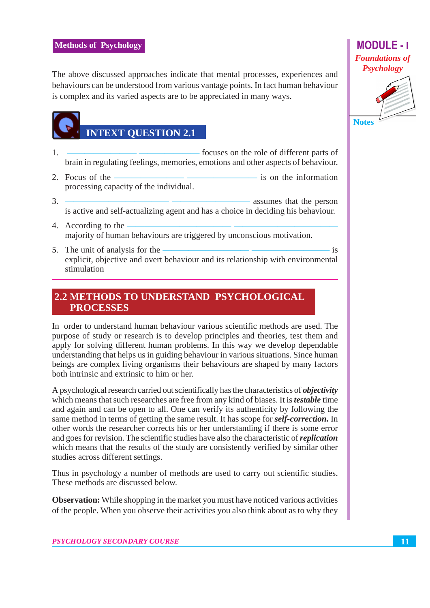The above discussed approaches indicate that mental processes, experiences and behaviours can be understood from various vantage points. In fact human behaviour is complex and its varied aspects are to be appreciated in many ways.

# **INTEXT QUESTION 2.1**

- focuses on the role of different parts of  $\mathbf{1}$ . brain in regulating feelings, memories, emotions and other aspects of behaviour.
- 2. Focus of the is on the information processing capacity of the individual.
- $\mathcal{Z}$ - assumes that the person is active and self-actualizing agent and has a choice in deciding his behaviour.
- 4. According to the majority of human behaviours are triggered by unconscious motivation.
- 5. The unit of analysis for the  $i<sub>S</sub>$ explicit, objective and overt behaviour and its relationship with environmental stimulation

## 2.2 METHODS TO UNDERSTAND PSYCHOLOGICAL **PROCESSES**

In order to understand human behaviour various scientific methods are used. The purpose of study or research is to develop principles and theories, test them and apply for solving different human problems. In this way we develop dependable understanding that helps us in guiding behaviour in various situations. Since human beings are complex living organisms their behaviours are shaped by many factors both intrinsic and extrinsic to him or her.

A psychological research carried out scientifically has the characteristics of *objectivity* which means that such researches are free from any kind of biases. It is *testable* time and again and can be open to all. One can verify its authenticity by following the same method in terms of getting the same result. It has scope for *self-correction*. In other words the researcher corrects his or her understanding if there is some error and goes for revision. The scientific studies have also the characteristic of *replication* which means that the results of the study are consistently verified by similar other studies across different settings.

Thus in psychology a number of methods are used to carry out scientific studies. These methods are discussed below.

**Observation:** While shopping in the market you must have noticed various activities of the people. When you observe their activities you also think about as to why they

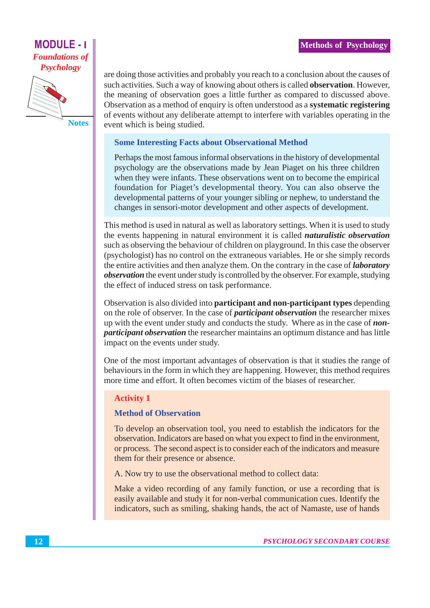# **MODULE - I Foundations of Psychology**



are doing those activities and probably you reach to a conclusion about the causes of such activities. Such a way of knowing about others is called **observation**. However, the meaning of observation goes a little further as compared to discussed above. Observation as a method of enquiry is often understood as a systematic registering of events without any deliberate attempt to interfere with variables operating in the event which is being studied.

#### **Some Interesting Facts about Observational Method**

Perhaps the most famous informal observations in the history of developmental psychology are the observations made by Jean Piaget on his three children when they were infants. These observations went on to become the empirical foundation for Piaget's developmental theory. You can also observe the developmental patterns of your younger sibling or nephew, to understand the changes in sensori-motor development and other aspects of development.

This method is used in natural as well as laboratory settings. When it is used to study the events happening in natural environment it is called *naturalistic observation* such as observing the behaviour of children on playground. In this case the observer (psychologist) has no control on the extraneous variables. He or she simply records the entire activities and then analyze them. On the contrary in the case of *laboratory observation* the event under study is controlled by the observer. For example, studying the effect of induced stress on task performance.

Observation is also divided into **participant and non-participant types** depending on the role of observer. In the case of *participant observation* the researcher mixes up with the event under study and conducts the study. Where as in the case of *nonparticipant observation* the researcher maintains an optimum distance and has little impact on the events under study.

One of the most important advantages of observation is that it studies the range of behaviours in the form in which they are happening. However, this method requires more time and effort. It often becomes victim of the biases of researcher.

### **Activity 1**

### **Method of Observation**

To develop an observation tool, you need to establish the indicators for the observation. Indicators are based on what you expect to find in the environment, or process. The second aspect is to consider each of the indicators and measure them for their presence or absence.

A. Now try to use the observational method to collect data:

Make a video recording of any family function, or use a recording that is easily available and study it for non-verbal communication cues. Identify the indicators, such as smiling, shaking hands, the act of Namaste, use of hands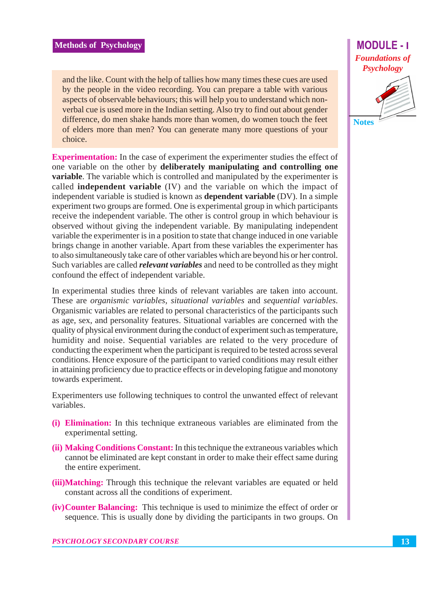and the like. Count with the help of tallies how many times these cues are used by the people in the video recording. You can prepare a table with various aspects of observable behaviours; this will help you to understand which nonverbal cue is used more in the Indian setting. Also try to find out about gender difference, do men shake hands more than women, do women touch the feet of elders more than men? You can generate many more questions of your choice.

**Experimentation:** In the case of experiment the experimenter studies the effect of one variable on the other by deliberately manipulating and controlling one variable. The variable which is controlled and manipulated by the experimenter is called **independent variable** (IV) and the variable on which the impact of independent variable is studied is known as **dependent variable** (DV). In a simple experiment two groups are formed. One is experimental group in which participants receive the independent variable. The other is control group in which behaviour is observed without giving the independent variable. By manipulating independent variable the experimenter is in a position to state that change induced in one variable brings change in another variable. Apart from these variables the experimenter has to also simultaneously take care of other variables which are beyond his or her control. Such variables are called *relevant variables* and need to be controlled as they might confound the effect of independent variable.

In experimental studies three kinds of relevant variables are taken into account. These are organismic variables, situational variables and sequential variables. Organismic variables are related to personal characteristics of the participants such as age, sex, and personality features. Situational variables are concerned with the quality of physical environment during the conduct of experiment such as temperature, humidity and noise. Sequential variables are related to the very procedure of conducting the experiment when the participant is required to be tested across several conditions. Hence exposure of the participant to varied conditions may result either in attaining proficiency due to practice effects or in developing fatigue and monotony towards experiment.

Experimenters use following techniques to control the unwanted effect of relevant variables.

- (i) Elimination: In this technique extraneous variables are eliminated from the experimental setting.
- (ii) Making Conditions Constant: In this technique the extraneous variables which cannot be eliminated are kept constant in order to make their effect same during the entire experiment.
- (iii) Matching: Through this technique the relevant variables are equated or held constant across all the conditions of experiment.
- **(iv) Counter Balancing:** This technique is used to minimize the effect of order or sequence. This is usually done by dividing the participants in two groups. On



**PSYCHOLOGY SECONDARY COURSE**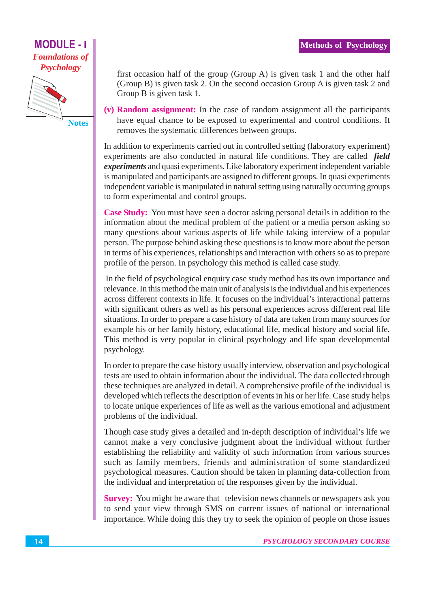**MODULE -Foundations of Psychology** 



first occasion half of the group (Group A) is given task 1 and the other half (Group B) is given task 2. On the second occasion Group A is given task 2 and Group B is given task 1.

(v) Random assignment: In the case of random assignment all the participants have equal chance to be exposed to experimental and control conditions. It removes the systematic differences between groups.

In addition to experiments carried out in controlled setting (laboratory experiment) experiments are also conducted in natural life conditions. They are called field *experiments* and quasi experiments. Like laboratory experiment independent variable is manipulated and participants are assigned to different groups. In quasi experiments independent variable is manipulated in natural setting using naturally occurring groups to form experimental and control groups.

Case Study: You must have seen a doctor asking personal details in addition to the information about the medical problem of the patient or a media person asking so many questions about various aspects of life while taking interview of a popular person. The purpose behind asking these questions is to know more about the person in terms of his experiences, relationships and interaction with others so as to prepare profile of the person. In psychology this method is called case study.

In the field of psychological enquiry case study method has its own importance and relevance. In this method the main unit of analysis is the individual and his experiences across different contexts in life. It focuses on the individual's interactional patterns with significant others as well as his personal experiences across different real life situations. In order to prepare a case history of data are taken from many sources for example his or her family history, educational life, medical history and social life. This method is very popular in clinical psychology and life span developmental psychology.

In order to prepare the case history usually interview, observation and psychological tests are used to obtain information about the individual. The data collected through these techniques are analyzed in detail. A comprehensive profile of the individual is developed which reflects the description of events in his or her life. Case study helps to locate unique experiences of life as well as the various emotional and adjustment problems of the individual.

Though case study gives a detailed and in-depth description of individual's life we cannot make a very conclusive judgment about the individual without further establishing the reliability and validity of such information from various sources such as family members, friends and administration of some standardized psychological measures. Caution should be taken in planning data-collection from the individual and interpretation of the responses given by the individual.

Survey: You might be aware that television news channels or newspapers ask you to send your view through SMS on current issues of national or international importance. While doing this they try to seek the opinion of people on those issues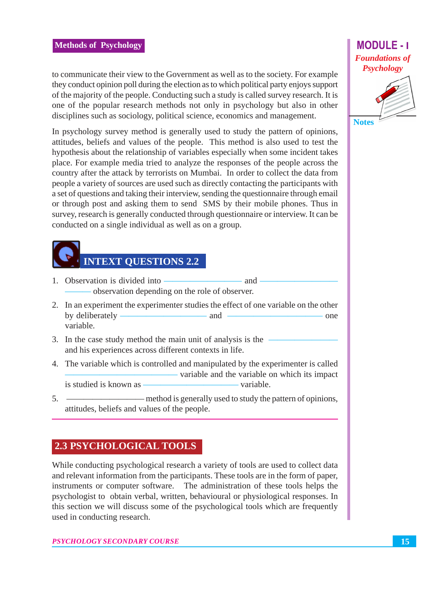to communicate their view to the Government as well as to the society. For example they conduct opinion poll during the election as to which political party enjoys support of the majority of the people. Conducting such a study is called survey research. It is one of the popular research methods not only in psychology but also in other disciplines such as sociology, political science, economics and management.

In psychology survey method is generally used to study the pattern of opinions, attitudes, beliefs and values of the people. This method is also used to test the hypothesis about the relationship of variables especially when some incident takes place. For example media tried to analyze the responses of the people across the country after the attack by terrorists on Mumbai. In order to collect the data from people a variety of sources are used such as directly contacting the participants with a set of questions and taking their interview, sending the questionnaire through email or through post and asking them to send SMS by their mobile phones. Thus in survey, research is generally conducted through questionnaire or interview. It can be conducted on a single individual as well as on a group.

# **INTEXT QUESTIONS 2.2**

- 1. Observation is divided into and observation depending on the role of observer.
- 2. In an experiment the experimenter studies the effect of one variable on the other by deliberately -– and one variable.
- 3. In the case study method the main unit of analysis is the and his experiences across different contexts in life.
- 4. The variable which is controlled and manipulated by the experimenter is called - variable and the variable on which its impact is studied is known as -- variable.
- $5<sub>1</sub>$ — method is generally used to study the pattern of opinions, attitudes, beliefs and values of the people.

## **2.3 PSYCHOLOGICAL TOOLS**

While conducting psychological research a variety of tools are used to collect data and relevant information from the participants. These tools are in the form of paper, instruments or computer software. The administration of these tools helps the psychologist to obtain verbal, written, behavioural or physiological responses. In this section we will discuss some of the psychological tools which are frequently used in conducting research.

**PSYCHOLOGY SECONDARY COURSE** 

# **MODULE-1 Foundations of Psychology**

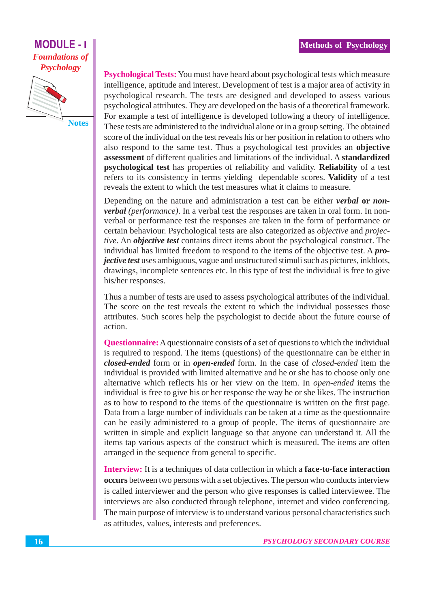# **MODULE - I Foundations of Psychology**



Psychological Tests: You must have heard about psychological tests which measure intelligence, aptitude and interest. Development of test is a major area of activity in psychological research. The tests are designed and developed to assess various psychological attributes. They are developed on the basis of a theoretical framework. For example a test of intelligence is developed following a theory of intelligence. These tests are administered to the individual alone or in a group setting. The obtained score of the individual on the test reveals his or her position in relation to others who also respond to the same test. Thus a psychological test provides an objective assessment of different qualities and limitations of the individual. A standardized psychological test has properties of reliability and validity. Reliability of a test refers to its consistency in terms yielding dependable scores. Validity of a test reveals the extent to which the test measures what it claims to measure.

Depending on the nature and administration a test can be either *verbal* or *nonverbal (performance)*. In a verbal test the responses are taken in oral form. In nonverbal or performance test the responses are taken in the form of performance or certain behaviour. Psychological tests are also categorized as *objective* and *projec*tive. An objective test contains direct items about the psychological construct. The individual has limited freedom to respond to the items of the objective test. A *projective test* uses ambiguous, vague and unstructured stimuli such as pictures, inkblots, drawings, incomplete sentences etc. In this type of test the individual is free to give his/her responses.

Thus a number of tests are used to assess psychological attributes of the individual. The score on the test reveals the extent to which the individual possesses those attributes. Such scores help the psychologist to decide about the future course of action.

**Questionnaire:** A questionnaire consists of a set of questions to which the individual is required to respond. The items (questions) of the questionnaire can be either in closed-ended form or in open-ended form. In the case of closed-ended item the individual is provided with limited alternative and he or she has to choose only one alternative which reflects his or her view on the item. In *open-ended* items the individual is free to give his or her response the way he or she likes. The instruction as to how to respond to the items of the questionnaire is written on the first page. Data from a large number of individuals can be taken at a time as the questionnaire can be easily administered to a group of people. The items of questionnaire are written in simple and explicit language so that anyone can understand it. All the items tap various aspects of the construct which is measured. The items are often arranged in the sequence from general to specific.

**Interview:** It is a techniques of data collection in which a face-to-face interaction occurs between two persons with a set objectives. The person who conducts interview is called interviewer and the person who give responses is called interviewee. The interviews are also conducted through telephone, internet and video conferencing. The main purpose of interview is to understand various personal characteristics such as attitudes, values, interests and preferences.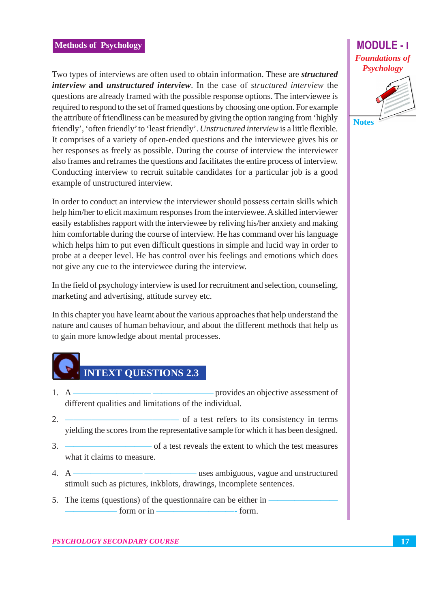#### **Methods of Psychology**

Two types of interviews are often used to obtain information. These are *structured interview* and *unstructured interview*. In the case of *structured interview* the questions are already framed with the possible response options. The interviewee is required to respond to the set of framed questions by choosing one option. For example the attribute of friendliness can be measured by giving the option ranging from 'highly friendly', 'often friendly' to 'least friendly'. Unstructured interview is a little flexible. It comprises of a variety of open-ended questions and the interviewee gives his or her responses as freely as possible. During the course of interview the interviewer also frames and reframes the questions and facilitates the entire process of interview. Conducting interview to recruit suitable candidates for a particular job is a good example of unstructured interview.

In order to conduct an interview the interviewer should possess certain skills which help him/her to elicit maximum responses from the interviewee. A skilled interviewer easily establishes rapport with the interviewee by reliving his/her anxiety and making him comfortable during the course of interview. He has command over his language which helps him to put even difficult questions in simple and lucid way in order to probe at a deeper level. He has control over his feelings and emotions which does not give any cue to the interviewee during the interview.

In the field of psychology interview is used for recruitment and selection, counseling, marketing and advertising, attitude survey etc.

In this chapter you have learnt about the various approaches that help understand the nature and causes of human behaviour, and about the different methods that help us to gain more knowledge about mental processes.



- $1 \quad A$ - provides an objective assessment of different qualities and limitations of the individual.
- $2<sup>1</sup>$ - of a test refers to its consistency in terms yielding the scores from the representative sample for which it has been designed.
- $3.$ of a test reveals the extent to which the test measures what it claims to measure
- $4 \text{ A}$ uses ambiguous, vague and unstructured stimuli such as pictures, inkblots, drawings, incomplete sentences.
- 5. The items (questions) of the question aire can be either in form or  $in -$ - form.

## **MODULE-1 Foundations of Psychology**



**Notes**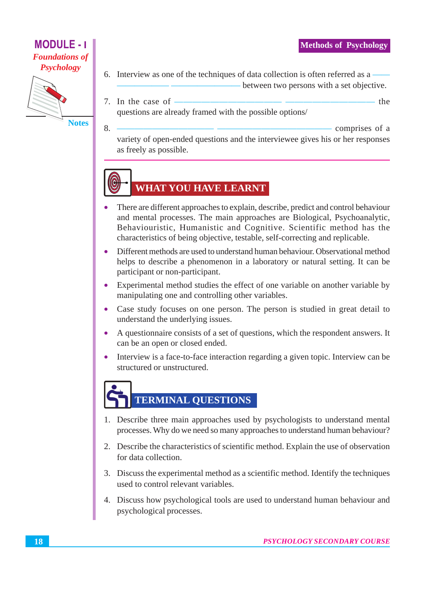- the

# **MODULE - I Foundations of Psychology**



6. Interview as one of the techniques of data collection is often referred as a between two persons with a set objective.

7. In the case of  $\frac{1}{\sqrt{1-\frac{1}{\sqrt{1-\frac{1}{\sqrt{1-\frac{1}{\sqrt{1-\frac{1}{\sqrt{1-\frac{1}{\sqrt{1-\frac{1}{\sqrt{1-\frac{1}{\sqrt{1-\frac{1}{\sqrt{1-\frac{1}{\sqrt{1-\frac{1}{\sqrt{1-\frac{1}{\sqrt{1-\frac{1}{\sqrt{1-\frac{1}{\sqrt{1-\frac{1}{\sqrt{1-\frac{1}{\sqrt{1-\frac{1}{\sqrt{1-\frac{1}{\sqrt{1-\frac{1}{\sqrt{1-\frac{1}{\sqrt{1-\frac{1}{\sqrt{1-\frac{1}{\sqrt{1-\frac{1$ questions are already framed with the possible options/

8.

- comprises of a variety of open-ended questions and the interviewee gives his or her responses as freely as possible.

# **WHAT YOU HAVE LEARNT**

- There are different approaches to explain, describe, predict and control behaviour and mental processes. The main approaches are Biological, Psychoanalytic, Behaviouristic, Humanistic and Cognitive. Scientific method has the characteristics of being objective, testable, self-correcting and replicable.
- Different methods are used to understand human behaviour. Observational method helps to describe a phenomenon in a laboratory or natural setting. It can be participant or non-participant.
- Experimental method studies the effect of one variable on another variable by manipulating one and controlling other variables.
- Case study focuses on one person. The person is studied in great detail to  $\bullet$ understand the underlying issues.
- A questionnaire consists of a set of questions, which the respondent answers. It  $\bullet$ can be an open or closed ended.
- Interview is a face-to-face interaction regarding a given topic. Interview can be  $\bullet$ structured or unstructured.

# **TERMINAL QUESTIONS**

- 1. Describe three main approaches used by psychologists to understand mental processes. Why do we need so many approaches to understand human behaviour?
- 2. Describe the characteristics of scientific method. Explain the use of observation for data collection.
- 3. Discuss the experimental method as a scientific method. Identify the techniques used to control relevant variables.
- 4. Discuss how psychological tools are used to understand human behaviour and psychological processes.